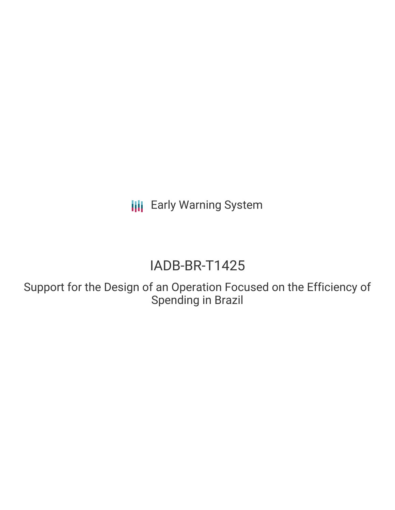**III** Early Warning System

# IADB-BR-T1425

Support for the Design of an Operation Focused on the Efficiency of Spending in Brazil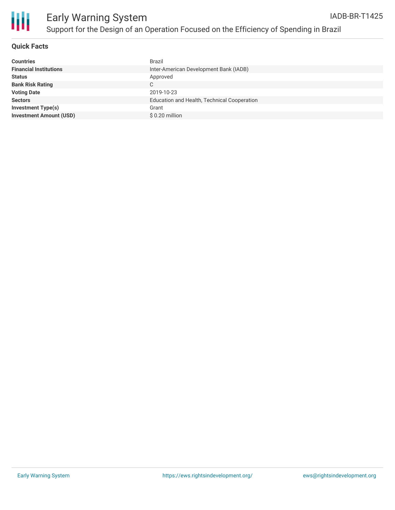



#### **Quick Facts**

| <b>Countries</b>               | Brazil                                      |
|--------------------------------|---------------------------------------------|
| <b>Financial Institutions</b>  | Inter-American Development Bank (IADB)      |
| <b>Status</b>                  | Approved                                    |
| <b>Bank Risk Rating</b>        | C                                           |
| <b>Voting Date</b>             | 2019-10-23                                  |
| <b>Sectors</b>                 | Education and Health, Technical Cooperation |
| <b>Investment Type(s)</b>      | Grant                                       |
| <b>Investment Amount (USD)</b> | \$0.20 million                              |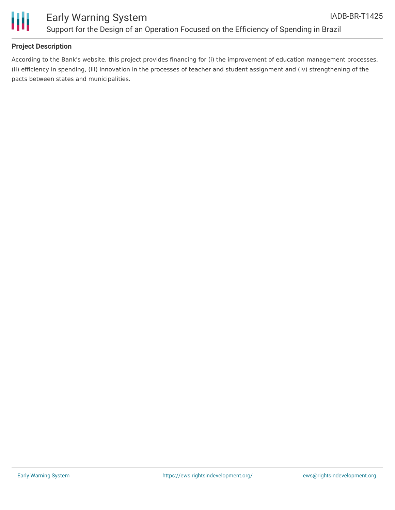

#### **Project Description**

According to the Bank's website, this project provides financing for (i) the improvement of education management processes, (ii) efficiency in spending, (iii) innovation in the processes of teacher and student assignment and (iv) strengthening of the pacts between states and municipalities.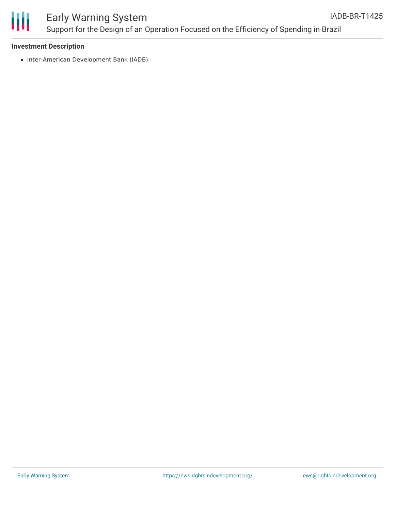

#### Early Warning System Support for the Design of an Operation Focused on the Efficiency of Spending in Brazil IADB-BR-T1425

#### **Investment Description**

• Inter-American Development Bank (IADB)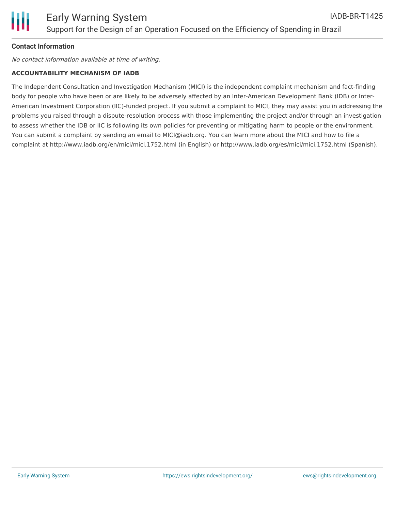### **Contact Information**

No contact information available at time of writing.

#### **ACCOUNTABILITY MECHANISM OF IADB**

The Independent Consultation and Investigation Mechanism (MICI) is the independent complaint mechanism and fact-finding body for people who have been or are likely to be adversely affected by an Inter-American Development Bank (IDB) or Inter-American Investment Corporation (IIC)-funded project. If you submit a complaint to MICI, they may assist you in addressing the problems you raised through a dispute-resolution process with those implementing the project and/or through an investigation to assess whether the IDB or IIC is following its own policies for preventing or mitigating harm to people or the environment. You can submit a complaint by sending an email to MICI@iadb.org. You can learn more about the MICI and how to file a complaint at http://www.iadb.org/en/mici/mici,1752.html (in English) or http://www.iadb.org/es/mici/mici,1752.html (Spanish).